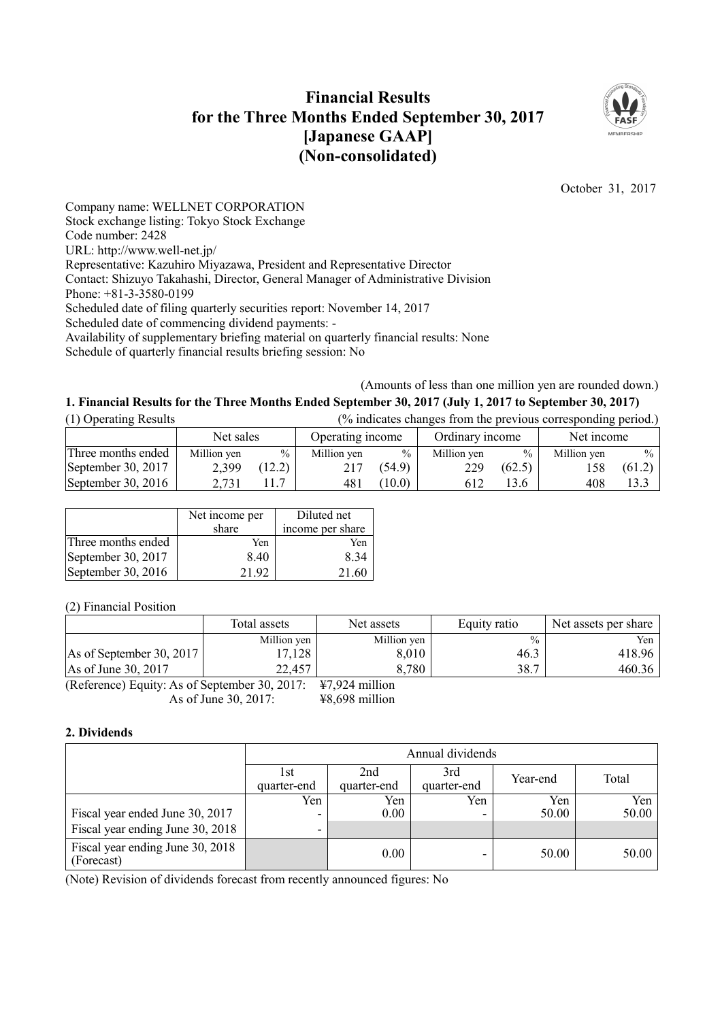# **Financial Results for the Three Months Ended September 30, 2017 [Japanese GAAP] (Non-consolidated)**



October 31, 2017

Company name: WELLNET CORPORATION Stock exchange listing: Tokyo Stock Exchange Code number: 2428 URL: http://www.well-net.jp/ Representative: Kazuhiro Miyazawa, President and Representative Director Contact: Shizuyo Takahashi, Director, General Manager of Administrative Division Phone: +81-3-3580-0199 Scheduled date of filing quarterly securities report: November 14, 2017 Scheduled date of commencing dividend payments: - Availability of supplementary briefing material on quarterly financial results: None Schedule of quarterly financial results briefing session: No

(Amounts of less than one million yen are rounded down.)

## 1. Financial Results for the Three Months Ended September 30, 2017 (July 1, 2017 to September 30, 2017)

| (1) Operating Results | (% indicates changes from the previous corresponding period.) |               |                  |               |                 |               |             |               |
|-----------------------|---------------------------------------------------------------|---------------|------------------|---------------|-----------------|---------------|-------------|---------------|
|                       | Net sales                                                     |               | Operating income |               | Ordinary income |               | Net income  |               |
| Three months ended    | Million yen                                                   | $\frac{0}{0}$ | Million yen      | $\frac{0}{0}$ | Million ven     | $\frac{0}{0}$ | Million yen | $\frac{0}{0}$ |
| September 30, 2017    | 2,399                                                         | (12.2)        | 217              | (54.9)        | 229             | (62.5)        |             | (61.2)        |
| September 30, $2016$  | 2.731                                                         |               | 481              | (10.0)        | 612             | 13.6          | 408         | 13.3          |

|                    | Net income per<br>share | Diluted net<br>income per share |
|--------------------|-------------------------|---------------------------------|
| Three months ended | Yen                     | Yen                             |
| September 30, 2017 | 8.40                    | 8.34                            |
| September 30, 2016 | 21.92                   | -61                             |

(2) Financial Position

|                                               | Total assets | Net assets               | Equity ratio  | Net assets per share |
|-----------------------------------------------|--------------|--------------------------|---------------|----------------------|
|                                               | Million yen  | Million yen              | $\frac{0}{0}$ | Yen                  |
| As of September 30, 2017                      | 17,128       | 8,010                    | 46.3          | 418.96               |
| As of June 30, 2017                           | 22,457       | 8,780                    | 38.7          | 460.36               |
| (Reference) Equity: As of September 30 $2017$ |              | $\frac{127}{24}$ million |               |                      |

(Reference) Equity: As of September 30, 2017:  $\pm$ 7,924 million As of June 30, 2017:  $\frac{17,52}{100}$  + 48,698 million

## **2. Dividends**

|                                                | Annual dividends    |                    |                    |          |       |  |  |  |
|------------------------------------------------|---------------------|--------------------|--------------------|----------|-------|--|--|--|
|                                                | l st<br>quarter-end | 2nd<br>quarter-end | 3rd<br>quarter-end | Year-end | Total |  |  |  |
|                                                | Yen                 | Yen                | Yen                | Yen      | Yen   |  |  |  |
| Fiscal year ended June 30, 2017                | -                   | $0.00\,$           |                    | 50.00    | 50.00 |  |  |  |
| Fiscal year ending June 30, 2018               | ۰                   |                    |                    |          |       |  |  |  |
| Fiscal year ending June 30, 2018<br>(Forecast) |                     | 0.00               |                    | 50.00    | 50.00 |  |  |  |

(Note) Revision of dividends forecast from recently announced figures: No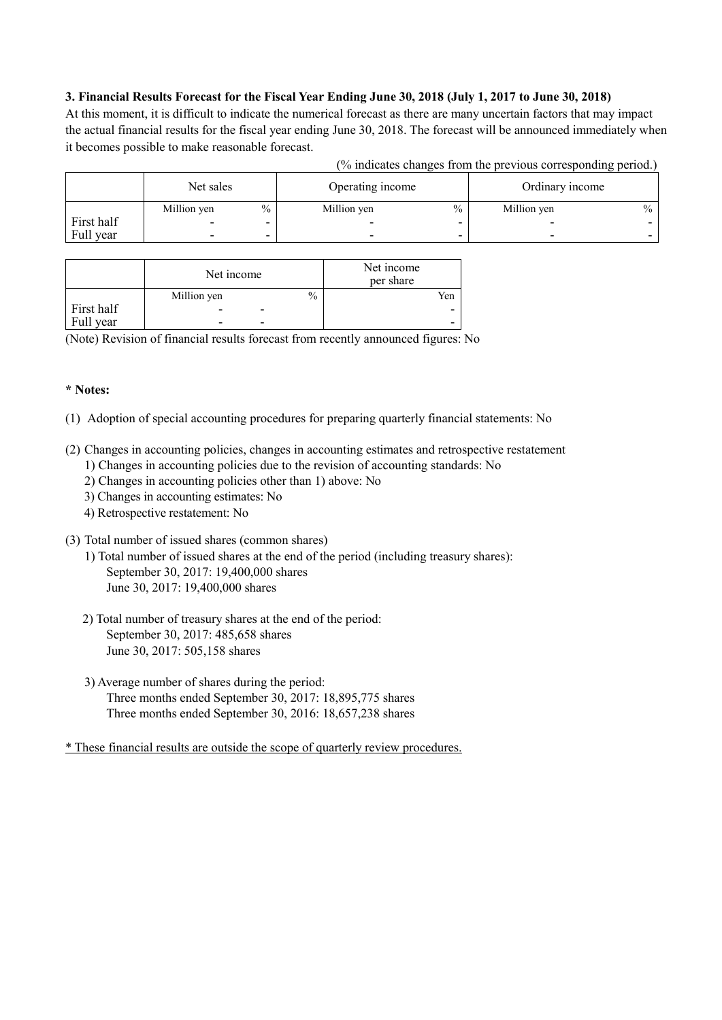## 3. Financial Results Forecast for the Fiscal Year Ending June 30, 2018 (July 1, 2017 to June 30, 2018)

At this moment, it is difficult to indicate the numerical forecast as there are many uncertain factors that may impact the actual financial results for the fiscal year ending June 30, 2018. The forecast will be announced immediately when it becomes possible to make reasonable forecast.

| (% indicates changes from the previous corresponding period.) |  |  |
|---------------------------------------------------------------|--|--|
|                                                               |  |  |

|            | Net sales   |               | Operating income             |                          | Ordinary income          |               |
|------------|-------------|---------------|------------------------------|--------------------------|--------------------------|---------------|
|            | Million yen | $\frac{0}{0}$ | $\frac{0}{0}$<br>Million yen |                          | Million yen              | $\frac{0}{0}$ |
| First half | -           |               | -                            |                          |                          |               |
| Full year  | -           | ۰             | $\overline{\phantom{a}}$     | $\overline{\phantom{a}}$ | $\overline{\phantom{a}}$ |               |

|            | Net income               |                          |      | Net income<br>per share |
|------------|--------------------------|--------------------------|------|-------------------------|
|            | Million yen              |                          | $\%$ | Yen                     |
| First half |                          | $\overline{\phantom{0}}$ |      | -                       |
| Full year  | $\overline{\phantom{0}}$ | $\overline{\phantom{0}}$ |      | -                       |

(Note) Revision of financial results forecast from recently announced figures: No

## **\* Notes:**

(1) Adoption of special accounting procedures for preparing quarterly financial statements: No

- (2) Changes in accounting policies, changes in accounting estimates and retrospective restatement
	- 1) Changes in accounting policies due to the revision of accounting standards: No
	- 2) Changes in accounting policies other than 1) above: No
	- 3) Changes in accounting estimates: No
	- 4) Retrospective restatement: No
- (3) Total number of issued shares (common shares)
	- 1) Total number of issued shares at the end of the period (including treasury shares): September 30, 2017: 19,400,000 shares June 30, 2017: 19,400,000 shares
	- 2) Total number of treasury shares at the end of the period: September 30, 2017: 485,658 shares June 30, 2017: 505,158 shares
	- 3) Average number of shares during the period: Three months ended September 30, 2017: 18,895,775 shares Three months ended September 30, 2016: 18,657,238 shares

\* These financial results are outside the scope of quarterly review procedures.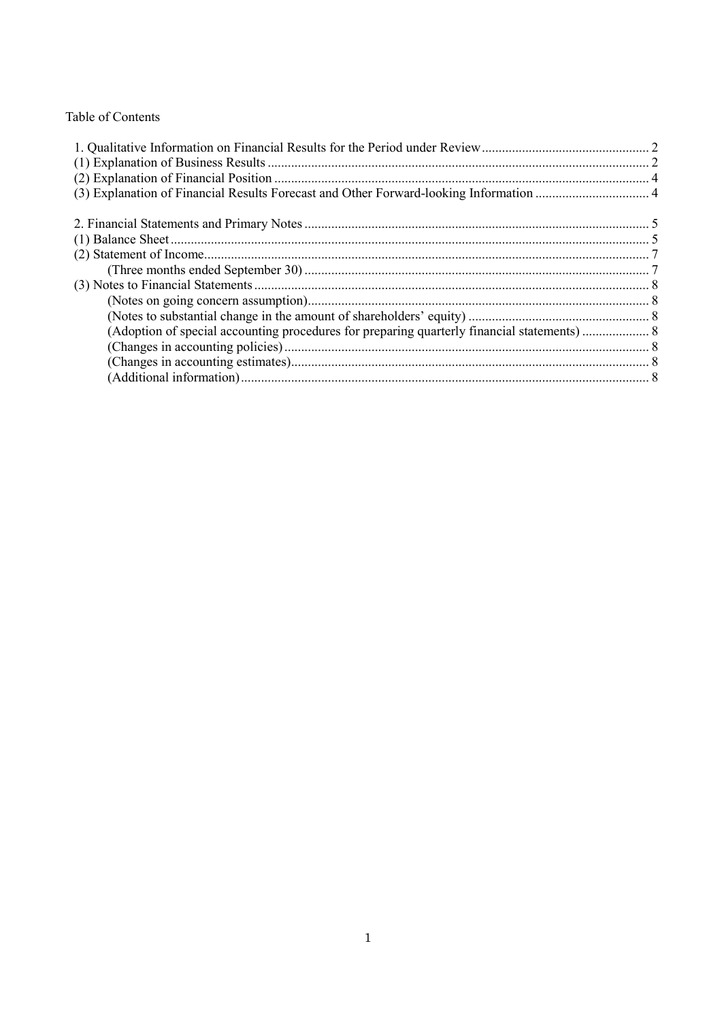## Table of Contents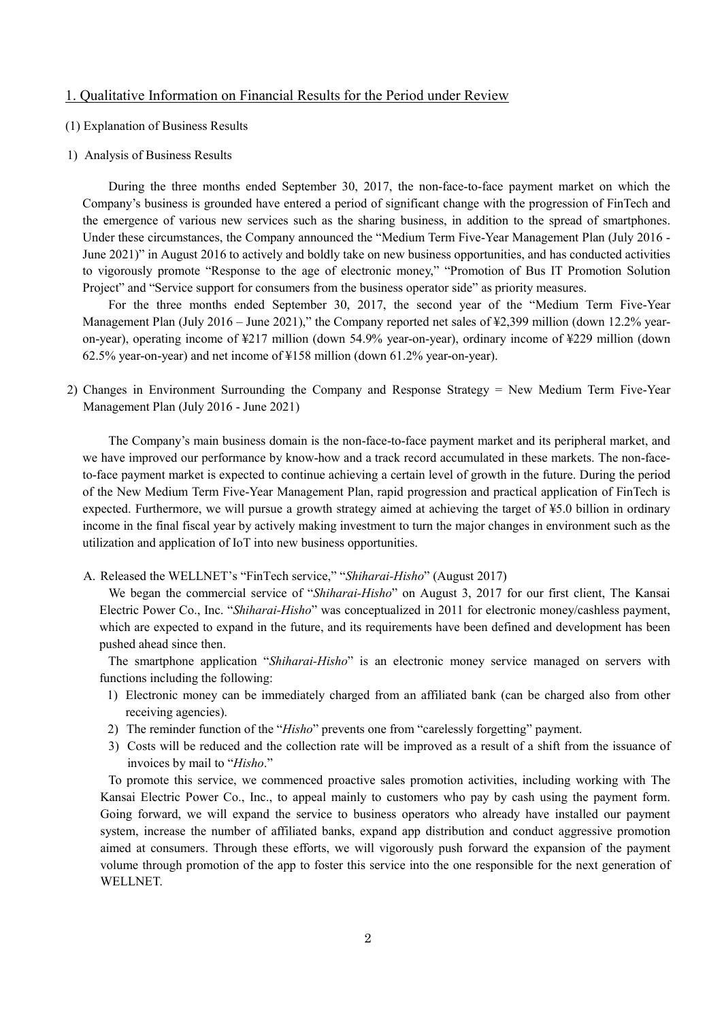#### 1. Qualitative Information on Financial Results for the Period under Review

- (1) Explanation of Business Results
- 1) Analysis of Business Results

During the three months ended September 30, 2017, the non-face-to-face payment market on which the Company's business is grounded have entered a period of significant change with the progression of FinTech and the emergence of various new services such as the sharing business, in addition to the spread of smartphones. Under these circumstances, the Company announced the "Medium Term Five-Year Management Plan (July 2016 - June 2021)" in August 2016 to actively and boldly take on new business opportunities, and has conducted activities to vigorously promote "Response to the age of electronic money," "Promotion of Bus IT Promotion Solution Project" and "Service support for consumers from the business operator side" as priority measures.

For the three months ended September 30, 2017, the second year of the "Medium Term Five-Year Management Plan (July 2016 – June 2021)," the Company reported net sales of ¥2,399 million (down 12.2% yearon-year), operating income of ¥217 million (down 54.9% year-on-year), ordinary income of ¥229 million (down 62.5% year-on-year) and net income of ¥158 million (down 61.2% year-on-year).

2) Changes in Environment Surrounding the Company and Response Strategy = New Medium Term Five-Year Management Plan (July 2016 - June 2021)

The Company's main business domain is the non-face-to-face payment market and its peripheral market, and we have improved our performance by know-how and a track record accumulated in these markets. The non-faceto-face payment market is expected to continue achieving a certain level of growth in the future. During the period of the New Medium Term Five-Year Management Plan, rapid progression and practical application of FinTech is expected. Furthermore, we will pursue a growth strategy aimed at achieving the target of ¥5.0 billion in ordinary income in the final fiscal year by actively making investment to turn the major changes in environment such as the utilization and application of IoT into new business opportunities.

A. Released the WELLNET's "FinTech service," "*Shiharai-Hisho*" (August 2017)

We began the commercial service of "*Shiharai-Hisho*" on August 3, 2017 for our first client, The Kansai Electric Power Co., Inc. "*Shiharai-Hisho*" was conceptualized in 2011 for electronic money/cashless payment, which are expected to expand in the future, and its requirements have been defined and development has been pushed ahead since then.

The smartphone application "*Shiharai-Hisho*" is an electronic money service managed on servers with functions including the following:

- 1) Electronic money can be immediately charged from an affiliated bank (can be charged also from other receiving agencies).
- 2) The reminder function of the "*Hisho*" prevents one from "carelessly forgetting" payment.
- 3) Costs will be reduced and the collection rate will be improved as a result of a shift from the issuance of invoices by mail to "*Hisho*."

To promote this service, we commenced proactive sales promotion activities, including working with The Kansai Electric Power Co., Inc., to appeal mainly to customers who pay by cash using the payment form. Going forward, we will expand the service to business operators who already have installed our payment system, increase the number of affiliated banks, expand app distribution and conduct aggressive promotion aimed at consumers. Through these efforts, we will vigorously push forward the expansion of the payment volume through promotion of the app to foster this service into the one responsible for the next generation of **WELLNET**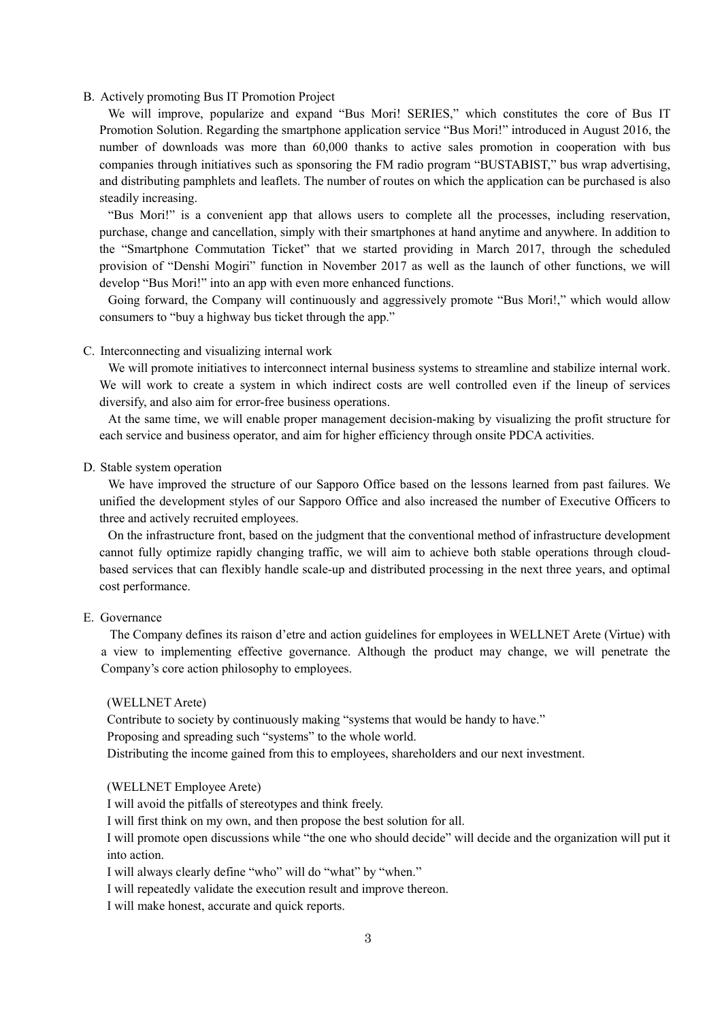#### B. Actively promoting Bus IT Promotion Project

We will improve, popularize and expand "Bus Mori! SERIES," which constitutes the core of Bus IT Promotion Solution. Regarding the smartphone application service "Bus Mori!" introduced in August 2016, the number of downloads was more than 60,000 thanks to active sales promotion in cooperation with bus companies through initiatives such as sponsoring the FM radio program "BUSTABIST," bus wrap advertising, and distributing pamphlets and leaflets. The number of routes on which the application can be purchased is also steadily increasing.

"Bus Mori!" is a convenient app that allows users to complete all the processes, including reservation, purchase, change and cancellation, simply with their smartphones at hand anytime and anywhere. In addition to the "Smartphone Commutation Ticket" that we started providing in March 2017, through the scheduled provision of "Denshi Mogiri" function in November 2017 as well as the launch of other functions, we will develop "Bus Mori!" into an app with even more enhanced functions.

Going forward, the Company will continuously and aggressively promote "Bus Mori!," which would allow consumers to "buy a highway bus ticket through the app."

#### C. Interconnecting and visualizing internal work

We will promote initiatives to interconnect internal business systems to streamline and stabilize internal work. We will work to create a system in which indirect costs are well controlled even if the lineup of services diversify, and also aim for error-free business operations.

At the same time, we will enable proper management decision-making by visualizing the profit structure for each service and business operator, and aim for higher efficiency through onsite PDCA activities.

#### D. Stable system operation

We have improved the structure of our Sapporo Office based on the lessons learned from past failures. We unified the development styles of our Sapporo Office and also increased the number of Executive Officers to three and actively recruited employees.

On the infrastructure front, based on the judgment that the conventional method of infrastructure development cannot fully optimize rapidly changing traffic, we will aim to achieve both stable operations through cloudbased services that can flexibly handle scale-up and distributed processing in the next three years, and optimal cost performance.

#### E. Governance

The Company defines its raison d'etre and action guidelines for employees in WELLNET Arete (Virtue) with a view to implementing effective governance. Although the product may change, we will penetrate the Company's core action philosophy to employees.

#### (WELLNET Arete)

Contribute to society by continuously making "systems that would be handy to have." Proposing and spreading such "systems" to the whole world.

Distributing the income gained from this to employees, shareholders and our next investment.

#### (WELLNET Employee Arete)

I will avoid the pitfalls of stereotypes and think freely.

I will first think on my own, and then propose the best solution for all.

I will promote open discussions while "the one who should decide" will decide and the organization will put it into action.

I will always clearly define "who" will do "what" by "when."

I will repeatedly validate the execution result and improve thereon.

I will make honest, accurate and quick reports.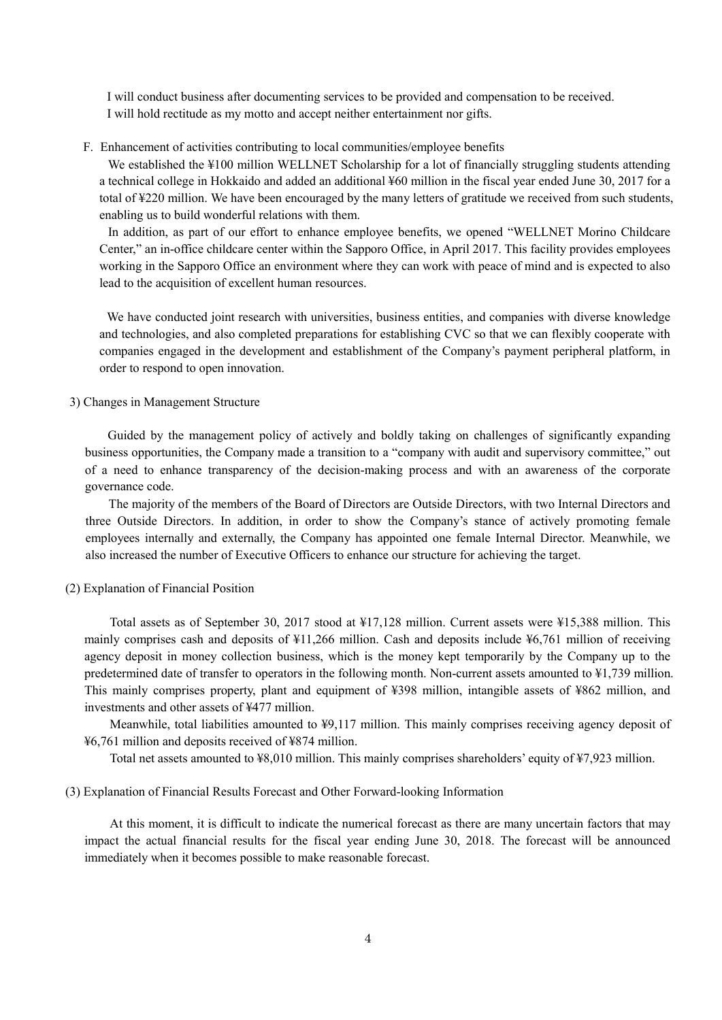I will conduct business after documenting services to be provided and compensation to be received. I will hold rectitude as my motto and accept neither entertainment nor gifts.

#### F. Enhancement of activities contributing to local communities/employee benefits

We established the ¥100 million WELLNET Scholarship for a lot of financially struggling students attending a technical college in Hokkaido and added an additional ¥60 million in the fiscal year ended June 30, 2017 for a total of ¥220 million. We have been encouraged by the many letters of gratitude we received from such students, enabling us to build wonderful relations with them.

In addition, as part of our effort to enhance employee benefits, we opened "WELLNET Morino Childcare Center," an in-office childcare center within the Sapporo Office, in April 2017. This facility provides employees working in the Sapporo Office an environment where they can work with peace of mind and is expected to also lead to the acquisition of excellent human resources.

We have conducted joint research with universities, business entities, and companies with diverse knowledge and technologies, and also completed preparations for establishing CVC so that we can flexibly cooperate with companies engaged in the development and establishment of the Company's payment peripheral platform, in order to respond to open innovation.

#### 3) Changes in Management Structure

Guided by the management policy of actively and boldly taking on challenges of significantly expanding business opportunities, the Company made a transition to a "company with audit and supervisory committee," out of a need to enhance transparency of the decision-making process and with an awareness of the corporate governance code.

The majority of the members of the Board of Directors are Outside Directors, with two Internal Directors and three Outside Directors. In addition, in order to show the Company's stance of actively promoting female employees internally and externally, the Company has appointed one female Internal Director. Meanwhile, we also increased the number of Executive Officers to enhance our structure for achieving the target.

#### (2) Explanation of Financial Position

Total assets as of September 30, 2017 stood at ¥17,128 million. Current assets were ¥15,388 million. This mainly comprises cash and deposits of ¥11,266 million. Cash and deposits include ¥6,761 million of receiving agency deposit in money collection business, which is the money kept temporarily by the Company up to the predetermined date of transfer to operators in the following month. Non-current assets amounted to ¥1,739 million. This mainly comprises property, plant and equipment of ¥398 million, intangible assets of ¥862 million, and investments and other assets of ¥477 million.

Meanwhile, total liabilities amounted to ¥9,117 million. This mainly comprises receiving agency deposit of ¥6,761 million and deposits received of ¥874 million.

Total net assets amounted to ¥8,010 million. This mainly comprises shareholders' equity of ¥7,923 million.

(3) Explanation of Financial Results Forecast and Other Forward-looking Information

At this moment, it is difficult to indicate the numerical forecast as there are many uncertain factors that may impact the actual financial results for the fiscal year ending June 30, 2018. The forecast will be announced immediately when it becomes possible to make reasonable forecast.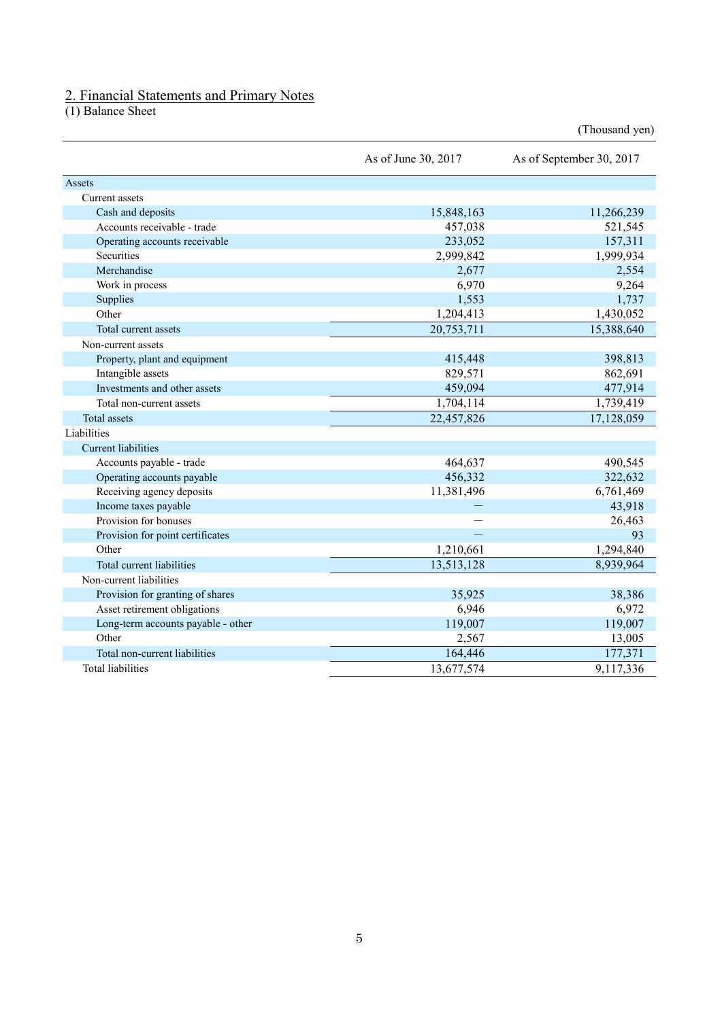### 2. Financial Statements and Primary Notes

(1) Balance Sheet

|                                    | As of June 30, 2017 | As of September 30, 2017 |
|------------------------------------|---------------------|--------------------------|
| Assets                             |                     |                          |
| Current assets                     |                     |                          |
| Cash and deposits                  | 15,848,163          | 11,266,239               |
| Accounts receivable - trade        | 457,038             | 521,545                  |
| Operating accounts receivable      | 233,052             | 157,311                  |
| Securities                         | 2,999,842           | 1,999,934                |
| Merchandise                        | 2,677               | 2,554                    |
| Work in process                    | 6,970               | 9,264                    |
| Supplies                           | 1,553               | 1,737                    |
| Other                              | 1,204,413           | 1,430,052                |
| Total current assets               | 20,753,711          | 15,388,640               |
| Non-current assets                 |                     |                          |
| Property, plant and equipment      | 415,448             | 398,813                  |
| Intangible assets                  | 829,571             | 862,691                  |
| Investments and other assets       | 459,094             | 477,914                  |
| Total non-current assets           | 1,704,114           | 1,739,419                |
| <b>Total</b> assets                | 22,457,826          | 17,128,059               |
| Liabilities                        |                     |                          |
| Current liabilities                |                     |                          |
| Accounts payable - trade           | 464,637             | 490,545                  |
| Operating accounts payable         | 456,332             | 322,632                  |
| Receiving agency deposits          | 11,381,496          | 6,761,469                |
| Income taxes payable               |                     | 43,918                   |
| Provision for bonuses              |                     | 26,463                   |
| Provision for point certificates   |                     | 93                       |
| Other                              | 1,210,661           | 1,294,840                |
| Total current liabilities          | 13,513,128          | 8,939,964                |
| Non-current liabilities            |                     |                          |
| Provision for granting of shares   | 35,925              | 38,386                   |
| Asset retirement obligations       | 6,946               | 6,972                    |
| Long-term accounts payable - other | 119,007             | 119,007                  |
| Other                              | 2,567               | 13,005                   |
| Total non-current liabilities      | 164,446             | 177,371                  |
| <b>Total liabilities</b>           | 13,677,574          | 9,117,336                |

(Thousand yen)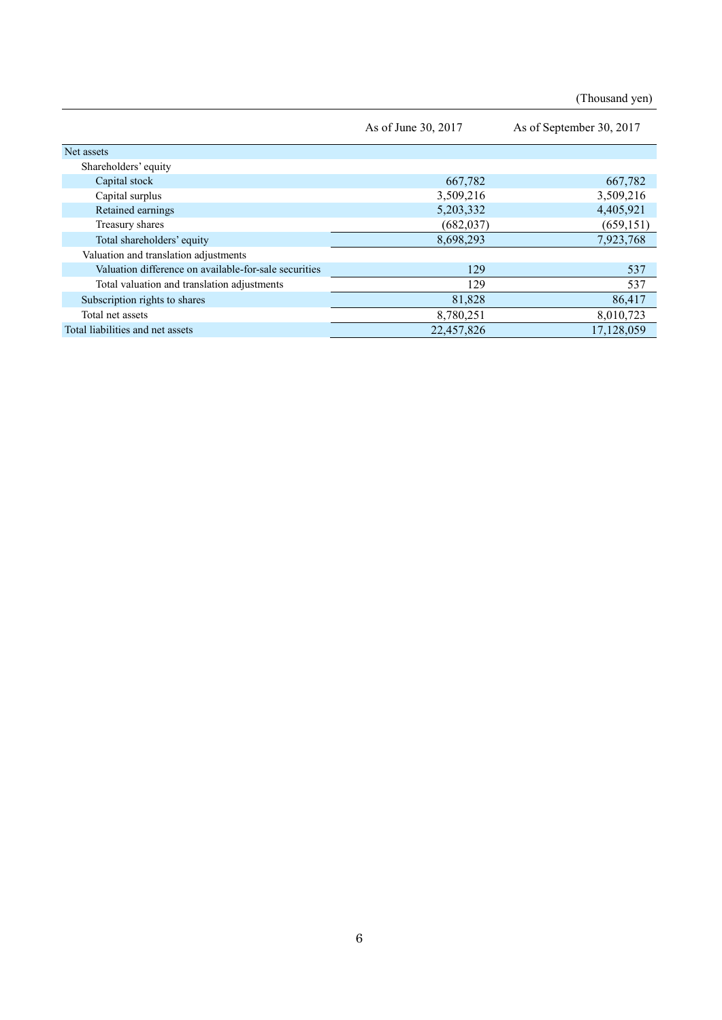(Thousand yen)

|                                                       | As of June 30, 2017 | As of September 30, 2017 |
|-------------------------------------------------------|---------------------|--------------------------|
| Net assets                                            |                     |                          |
| Shareholders' equity                                  |                     |                          |
| Capital stock                                         | 667,782             | 667,782                  |
| Capital surplus                                       | 3,509,216           | 3,509,216                |
| Retained earnings                                     | 5,203,332           | 4,405,921                |
| Treasury shares                                       | (682, 037)          | (659, 151)               |
| Total shareholders' equity                            | 8,698,293           | 7,923,768                |
| Valuation and translation adjustments                 |                     |                          |
| Valuation difference on available-for-sale securities | 129                 | 537                      |
| Total valuation and translation adjustments           | 129                 | 537                      |
| Subscription rights to shares                         | 81,828              | 86,417                   |
| Total net assets                                      | 8,780,251           | 8,010,723                |
| Total liabilities and net assets                      | 22,457,826          | 17,128,059               |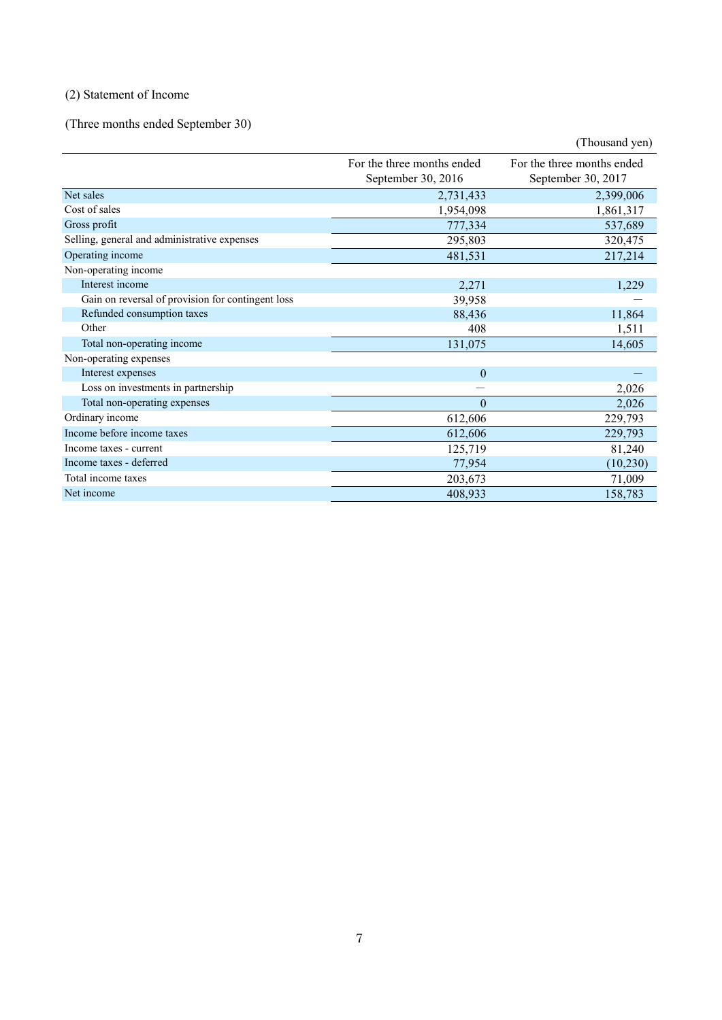## (2) Statement of Income

(Three months ended September 30)

|                                                   |                                                  | (Thousand yen)                                   |
|---------------------------------------------------|--------------------------------------------------|--------------------------------------------------|
|                                                   | For the three months ended<br>September 30, 2016 | For the three months ended<br>September 30, 2017 |
| Net sales                                         | 2,731,433                                        | 2,399,006                                        |
| Cost of sales                                     | 1,954,098                                        | 1,861,317                                        |
| Gross profit                                      | 777,334                                          | 537,689                                          |
| Selling, general and administrative expenses      | 295,803                                          | 320,475                                          |
| Operating income                                  | 481,531                                          | 217,214                                          |
| Non-operating income                              |                                                  |                                                  |
| Interest income                                   | 2,271                                            | 1,229                                            |
| Gain on reversal of provision for contingent loss | 39,958                                           |                                                  |
| Refunded consumption taxes                        | 88,436                                           | 11,864                                           |
| Other                                             | 408                                              | 1,511                                            |
| Total non-operating income                        | 131,075                                          | 14,605                                           |
| Non-operating expenses                            |                                                  |                                                  |
| Interest expenses                                 | $\theta$                                         |                                                  |
| Loss on investments in partnership                |                                                  | 2,026                                            |
| Total non-operating expenses                      | $\theta$                                         | 2,026                                            |
| Ordinary income                                   | 612,606                                          | 229,793                                          |
| Income before income taxes                        | 612,606                                          | 229,793                                          |
| Income taxes - current                            | 125,719                                          | 81,240                                           |
| Income taxes - deferred                           | 77,954                                           | (10, 230)                                        |
| Total income taxes                                | 203,673                                          | 71,009                                           |
| Net income                                        | 408,933                                          | 158,783                                          |